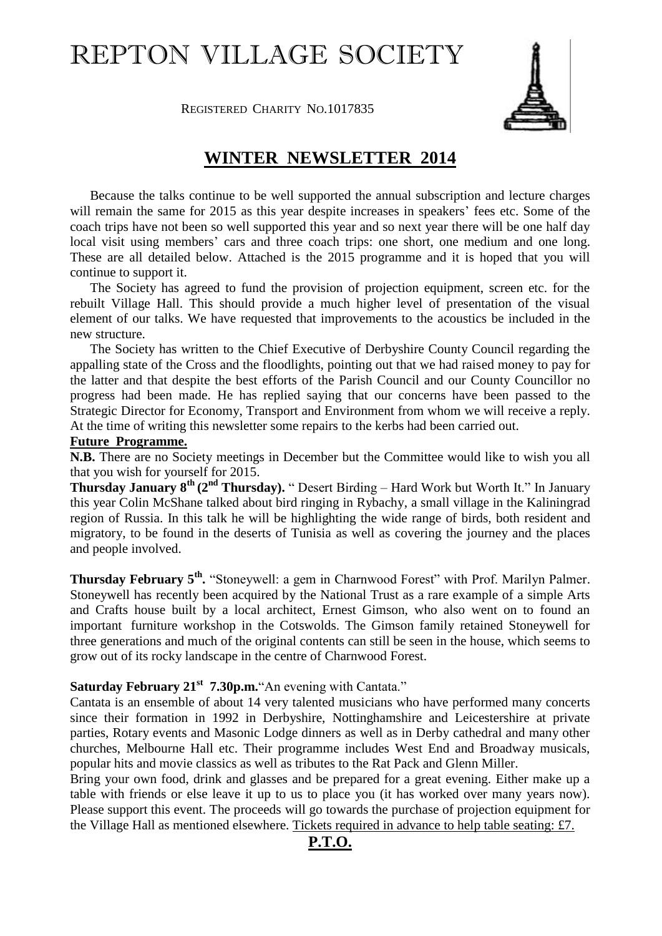# REPTON VILLAGE SOCIETY



**REGISTERED CHARITY NO.1017835** 

# **WINTER NEWSLETTER 2014**

Because the talks continue to be well supported the annual subscription and lecture charges will remain the same for 2015 as this year despite increases in speakers' fees etc. Some of the coach trips have not been so well supported this year and so next year there will be one half day local visit using members' cars and three coach trips: one short, one medium and one long. These are all detailed below. Attached is the 2015 programme and it is hoped that you will continue to support it.

The Society has agreed to fund the provision of projection equipment, screen etc. for the rebuilt Village Hall. This should provide a much higher level of presentation of the visual element of our talks. We have requested that improvements to the acoustics be included in the new structure.

The Society has written to the Chief Executive of Derbyshire County Council regarding the appalling state of the Cross and the floodlights, pointing out that we had raised money to pay for the latter and that despite the best efforts of the Parish Council and our County Councillor no progress had been made. He has replied saying that our concerns have been passed to the Strategic Director for Economy, Transport and Environment from whom we will receive a reply. At the time of writing this newsletter some repairs to the kerbs had been carried out.

#### **Future Programme.**

**N.B.** There are no Society meetings in December but the Committee would like to wish you all that you wish for yourself for 2015.

**Thursday January 8<sup>th</sup> (2<sup>nd</sup> Thursday). "Desert Birding – Hard Work but Worth It." In January** this year Colin McShane talked about bird ringing in Rybachy, a small village in the Kaliningrad region of Russia. In this talk he will be highlighting the wide range of birds, both resident and migratory, to be found in the deserts of Tunisia as well as covering the journey and the places and people involved.

**Thursday February 5th .** "Stoneywell: a gem in Charnwood Forest" with Prof. Marilyn Palmer. Stoneywell has recently been acquired by the National Trust as a rare example of a simple Arts and Crafts house built by a local architect, Ernest Gimson, who also went on to found an important furniture workshop in the Cotswolds. The Gimson family retained Stoneywell for three generations and much of the original contents can still be seen in the house, which seems to grow out of its rocky landscape in the centre of Charnwood Forest.

## **Saturday February 21st 7.30p.m.**"An evening with Cantata."

Cantata is an ensemble of about 14 very talented musicians who have performed many concerts since their formation in 1992 in Derbyshire, Nottinghamshire and Leicestershire at private parties, Rotary events and Masonic Lodge dinners as well as in Derby cathedral and many other churches, Melbourne Hall etc. Their programme includes West End and Broadway musicals, popular hits and movie classics as well as tributes to the Rat Pack and Glenn Miller.

Bring your own food, drink and glasses and be prepared for a great evening. Either make up a table with friends or else leave it up to us to place you (it has worked over many years now). Please support this event. The proceeds will go towards the purchase of projection equipment for the Village Hall as mentioned elsewhere. Tickets required in advance to help table seating: £7.